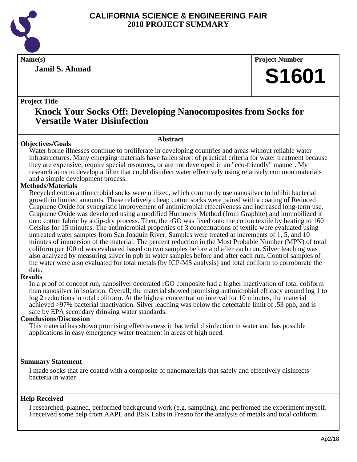

**Jamil S. Ahmad**

**Name(s) Project Number**

# **S1601**

#### **Project Title**

### **Knock Your Socks Off: Developing Nanocomposites from Socks for Versatile Water Disinfection**

#### **Abstract**

**Objectives/Goals** Water borne illnesses continue to proliferate in developing countries and areas without reliable water infrastructures. Many emerging materials have fallen short of practical criteria for water treatment because they are expensive, require special resources, or are not developed in an "eco-friendly" manner. My research aims to develop a filter that could disinfect water effectively using relatively common materials and a simple development process.

#### **Methods/Materials**

Recycled cotton antimicrobial socks were utilized, which commonly use nanosilver to inhibit bacterial growth in limited amounts. These relatively cheap cotton socks were paired with a coating of Reduced Graphene Oxide for synergistic improvement of antimicrobial effectiveness and increased long-term use. Graphene Oxide was developed using a modified Hummers' Method (from Graphite) and immobilized it onto cotton fabric by a dip-dry process. Then, the rGO was fixed onto the cotton textile by heating to 160 Celsius for 15 minutes. The antimicrobial properties of 3 concentrations of textile were evaluated using untreated water samples from San Joaquin River. Samples were treated at increments of 1, 5, and 10 minutes of immersion of the material. The percent reduction in the Most Probable Number (MPN) of total coliform per 100ml was evaluated based on two samples before and after each run. Silver leaching was also analyzed by measuring silver in ppb in water samples before and after each run. Control samples of the water were also evaluated for total metals (by ICP-MS analysis) and total coliform to corroborate the data.

#### **Results**

In a proof of concept run, nanosilver decorated rGO composite had a higher inactivation of total coliform than nanosilver in isolation. Overall, the material showed promising antimicrobial efficacy around log 1 to log 2 reductions in total coliform. At the highest concentration interval for 10 minutes, the material achieved >97% bacterial inactivation. Silver leaching was below the detectable limit of .53 ppb, and is safe by EPA secondary drinking water standards.

#### **Conclusions/Discussion**

This material has shown promising effectiveness in bacterial disinfection in water and has possible applications in easy emergency water treatment in areas of high need.

#### **Summary Statement**

I made socks that are coated with a composite of nanomaterials that safely and effectively disinfects bacteria in water

#### **Help Received**

I researched, planned, performed background work (e.g. sampling), and perfromed the experiment myself. I received some help from AAPL and BSK Labs in Fresno for the analysis of metals and total coliform.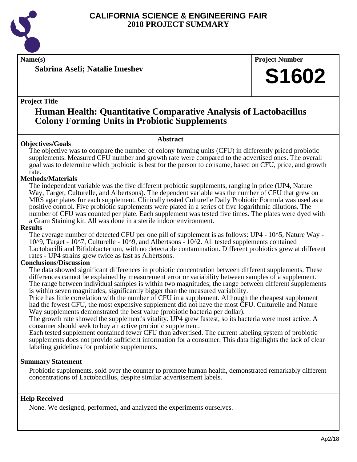

**Name(s) Project Number**

**Sabrina Asefi; Natalie Imeshev**

#### **Project Title**

## **Human Health: Quantitative Comparative Analysis of Lactobacillus Colony Forming Units in Probiotic Supplements**

#### **Abstract**

**Objectives/Goals** The objective was to compare the number of colony forming units (CFU) in differently priced probiotic supplements. Measured CFU number and growth rate were compared to the advertised ones. The overall goal was to determine which probiotic is best for the person to consume, based on CFU, price, and growth rate.

#### **Methods/Materials**

The independent variable was the five different probiotic supplements, ranging in price (UP4, Nature Way, Target, Culturelle, and Albertsons). The dependent variable was the number of CFU that grew on MRS agar plates for each supplement. Clinically tested Culturelle Daily Probiotic Formula was used as a positive control. Five probiotic supplements were plated in a series of five logarithmic dilutions. The number of CFU was counted per plate. Each supplement was tested five times. The plates were dyed with a Gram Staining kit. All was done in a sterile indoor environment.

#### **Results**

The average number of detected CFU per one pill of supplement is as follows: UP4 - 10^5, Nature Way -10^9, Target - 10^7, Culturelle - 10^9, and Albertsons - 10^2. All tested supplements contained Lactobacilli and Bifidobacterium, with no detectable contamination. Different probiotics grew at different rates - UP4 strains grew twice as fast as Albertsons.

#### **Conclusions/Discussion**

The data showed significant differences in probiotic concentration between different supplements. These differences cannot be explained by measurement error or variability between samples of a supplement. The range between individual samples is within two magnitudes; the range between different supplements is within seven magnitudes, significantly bigger than the measured variability.

Price has little correlation with the number of CFU in a supplement. Although the cheapest supplement had the fewest CFU, the most expensive supplement did not have the most CFU. Culturelle and Nature Way supplements demonstrated the best value (probiotic bacteria per dollar).

The growth rate showed the supplement's vitality. UP4 grew fastest, so its bacteria were most active. A consumer should seek to buy an active probiotic supplement.

Each tested supplement contained fewer CFU than advertised. The current labeling system of probiotic supplements does not provide sufficient information for a consumer. This data highlights the lack of clear labeling guidelines for probiotic supplements.

#### **Summary Statement**

Probiotic supplements, sold over the counter to promote human health, demonstrated remarkably different concentrations of Lactobacillus, despite similar advertisement labels.

#### **Help Received**

None. We designed, performed, and analyzed the experiments ourselves.

**S1602**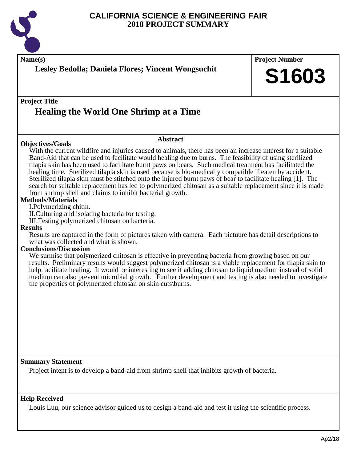

| Name(s)<br>Lesley Bedolla; Daniela Flores; Vincent Wongsuchit                                                                                                                                                                                                                                                                                                                                                                                                                                                                                                                                                                                                                                                                                                                                                                                                                                                                                                                                                                                                                                                                                                                                                                                                                                                                                                                                                                                                                                                                                                                                                                                                              | <b>Project Number</b><br>S1603 |
|----------------------------------------------------------------------------------------------------------------------------------------------------------------------------------------------------------------------------------------------------------------------------------------------------------------------------------------------------------------------------------------------------------------------------------------------------------------------------------------------------------------------------------------------------------------------------------------------------------------------------------------------------------------------------------------------------------------------------------------------------------------------------------------------------------------------------------------------------------------------------------------------------------------------------------------------------------------------------------------------------------------------------------------------------------------------------------------------------------------------------------------------------------------------------------------------------------------------------------------------------------------------------------------------------------------------------------------------------------------------------------------------------------------------------------------------------------------------------------------------------------------------------------------------------------------------------------------------------------------------------------------------------------------------------|--------------------------------|
| <b>Project Title</b><br><b>Healing the World One Shrimp at a Time</b>                                                                                                                                                                                                                                                                                                                                                                                                                                                                                                                                                                                                                                                                                                                                                                                                                                                                                                                                                                                                                                                                                                                                                                                                                                                                                                                                                                                                                                                                                                                                                                                                      |                                |
| <b>Abstract</b><br><b>Objectives/Goals</b><br>With the current wildfire and injuries caused to animals, there has been an increase interest for a suitable<br>Band-Aid that can be used to facilitate would healing due to burns. The feasibility of using sterilized<br>tilapia skin has been used to facilitate burnt paws on bears. Such medical treatment has facilitated the<br>healing time. Sterilized tilapia skin is used because is bio-medically compatible if eaten by accident.<br>Sterilized tilapia skin must be stitched onto the injured burnt paws of bear to facilitate healing [1]. The<br>search for suitable replacement has led to polymerized chitosan as a suitable replacement since it is made<br>from shrimp shell and claims to inhibit bacterial growth.<br><b>Methods/Materials</b><br>I. Polymerizing chitin.<br>II. Culturing and isolating bacteria for testing.<br>III. Testing polymerized chitosan on bacteria.<br><b>Results</b><br>Results are captured in the form of pictures taken with camera. Each pictuure has detail descriptions to<br>what was collected and what is shown.<br><b>Conclusions/Discussion</b><br>We surmise that polymerized chitosan is effective in preventing bacteria from growing based on our<br>results. Preliminary results would suggest polymerized chitosan is a viable replacement for tilapia skin to<br>help facilitate healing. It would be interesting to see if adding chitosan to liquid medium instead of solid<br>medium can also prevent microbial growth. Further development and testing is also needed to investigate<br>the properties of polymerized chitosan on skin cuts\burns. |                                |
| <b>Summary Statement</b><br>Project intent is to develop a band-aid from shrimp shell that inhibits growth of bacteria.                                                                                                                                                                                                                                                                                                                                                                                                                                                                                                                                                                                                                                                                                                                                                                                                                                                                                                                                                                                                                                                                                                                                                                                                                                                                                                                                                                                                                                                                                                                                                    |                                |
| <b>Help Received</b><br>Louis Luu, our science advisor guided us to design a band-aid and test it using the scientific process.                                                                                                                                                                                                                                                                                                                                                                                                                                                                                                                                                                                                                                                                                                                                                                                                                                                                                                                                                                                                                                                                                                                                                                                                                                                                                                                                                                                                                                                                                                                                            |                                |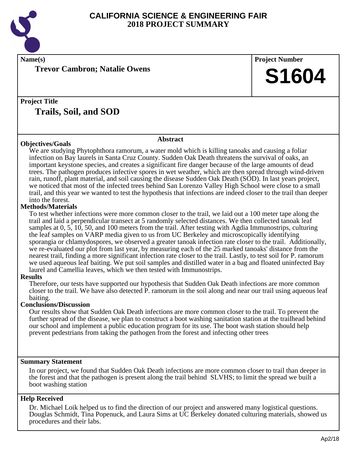

**Name(s) Project Number**

**Trevor Cambron; Natalie Owens**

**Project Title Trails, Soil, and SOD**

#### **Objectives/Goals**

#### **Abstract**

We are studying Phytophthora ramorum, a water mold which is killing tanoaks and causing a foliar infection on Bay laurels in Santa Cruz County. Sudden Oak Death threatens the survival of oaks, an important keystone species, and creates a significant fire danger because of the large amounts of dead trees. The pathogen produces infective spores in wet weather, which are then spread through wind-driven rain, runoff, plant material, and soil causing the disease Sudden Oak Death (SOD). In last years project, we noticed that most of the infected trees behind San Lorenzo Valley High School were close to a small trail, and this year we wanted to test the hypothesis that infections are indeed closer to the trail than deeper into the forest.

#### **Methods/Materials**

To test whether infections were more common closer to the trail, we laid out a 100 meter tape along the trail and laid a perpendicular transect at 5 randomly selected distances. We then collected tanoak leaf samples at 0, 5, 10, 50, and 100 meters from the trail. After testing with Agdia Immunostrips, culturing the leaf samples on VARP media given to us from UC Berkeley and microscopically identifying sporangia or chlamydospores, we observed a greater tanoak infection rate closer to the trail. Additionally, we re-evaluated our plot from last year, by measuring each of the 25 marked tanoaks' distance from the nearest trail, finding a more significant infection rate closer to the trail. Lastly, to test soil for P. ramorum we used aqueous leaf baiting. We put soil samples and distilled water in a bag and floated uninfected Bay laurel and Camellia leaves, which we then tested with Immunostrips.

#### **Results**

Therefore, our tests have supported our hypothesis that Sudden Oak Death infections are more common closer to the trail. We have also detected P. ramorum in the soil along and near our trail using aqueous leaf baiting.

#### **Conclusions/Discussion**

Our results show that Sudden Oak Death infections are more common closer to the trail. To prevent the further spread of the disease, we plan to construct a boot washing sanitation station at the trailhead behind our school and implement a public education program for its use. The boot wash station should help prevent pedestrians from taking the pathogen from the forest and infecting other trees

#### **Summary Statement**

In our project, we found that Sudden Oak Death infections are more common closer to trail than deeper in the forest and that the pathogen is present along the trail behind SLVHS; to limit the spread we built a boot washing station

#### **Help Received**

Dr. Michael Loik helped us to find the direction of our project and answered many logistical questions. Douglas Schmidt, Tina Popenuck, and Laura Sims at UC Berkeley donated culturing materials, showed us procedures and their labs.

**S1604**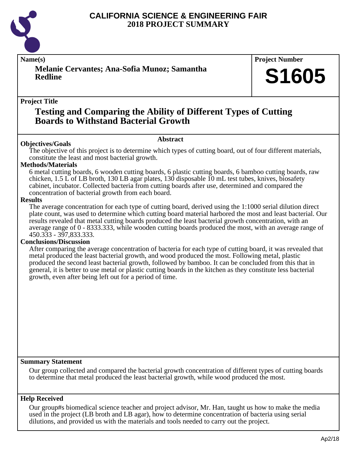

**Melanie Cervantes; Ana-Sofia Munoz; Samantha Redline**

#### **Name(s) Project Number**

# **S1605**

#### **Project Title**

### **Testing and Comparing the Ability of Different Types of Cutting Boards to Withstand Bacterial Growth**

#### **Abstract**

**Objectives/Goals** The objective of this project is to determine which types of cutting board, out of four different materials, constitute the least and most bacterial growth.

#### **Methods/Materials**

6 metal cutting boards, 6 wooden cutting boards, 6 plastic cutting boards, 6 bamboo cutting boards, raw chicken, 1.5 L of LB broth, 130 LB agar plates, 130 disposable 10 mL test tubes, knives, biosafety cabinet, incubator. Collected bacteria from cutting boards after use, determined and compared the concentration of bacterial growth from each board.

#### **Results**

The average concentration for each type of cutting board, derived using the 1:1000 serial dilution direct plate count, was used to determine which cutting board material harbored the most and least bacterial. Our results revealed that metal cutting boards produced the least bacterial growth concentration, with an average range of 0 - 8333.333, while wooden cutting boards produced the most, with an average range of 450.333 - 397,833.333.

#### **Conclusions/Discussion**

After comparing the average concentration of bacteria for each type of cutting board, it was revealed that metal produced the least bacterial growth, and wood produced the most. Following metal, plastic produced the second least bacterial growth, followed by bamboo. It can be concluded from this that in general, it is better to use metal or plastic cutting boards in the kitchen as they constitute less bacterial growth, even after being left out for a period of time.

#### **Summary Statement**

Our group collected and compared the bacterial growth concentration of different types of cutting boards to determine that metal produced the least bacterial growth, while wood produced the most.

#### **Help Received**

Our group#s biomedical science teacher and project advisor, Mr. Han, taught us how to make the media used in the project (LB broth and LB agar), how to determine concentration of bacteria using serial dilutions, and provided us with the materials and tools needed to carry out the project.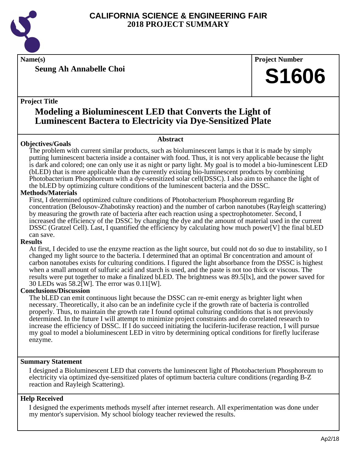

**Name(s) Project Number**

**Seung Ah Annabelle Choi**

#### **Project Title**

# **Modeling a Bioluminescent LED that Converts the Light of Luminescent Bactera to Electricity via Dye-Sensitized Plate**

#### **Abstract**

**Objectives/Goals** The problem with current similar products, such as bioluminescent lamps is that it is made by simply putting luminescent bacteria inside a container with food. Thus, it is not very applicable because the light is dark and colored; one can only use it as night or party light. My goal is to model a bio-luminescent LED (bLED) that is more applicable than the currently existing bio-luminescent products by combining Photobacterium Phosphoreum with a dye-sensitized solar cell(DSSC). I also aim to enhance the light of the bLED by optimizing culture conditions of the luminescent bacteria and the DSSC.

#### **Methods/Materials**

First, I determined optimized culture conditions of Photobacterium Phosphoreum regarding Br concentration (Belousov-Zhabotinsky reaction) and the number of carbon nanotubes (Rayleigh scattering) by measuring the growth rate of bacteria after each reaction using a spectrophotometer. Second, I increased the efficiency of the DSSC by changing the dye and the amount of material used in the current DSSC (Gratzel Cell). Last, I quantified the efficiency by calculating how much power[V] the final bLED can save.

#### **Results**

At first, I decided to use the enzyme reaction as the light source, but could not do so due to instability, so I changed my light source to the bacteria. I determined that an optimal Br concentration and amount of carbon nanotubes exists for culturing conditions. I figured the light absorbance from the DSSC is highest when a small amount of sulfuric acid and starch is used, and the paste is not too thick or viscous. The results were put together to make a finalized bLED. The brightness was 89.5[lx], and the power saved for 30 LEDs was 58.2[W]. The error was 0.11[W].

#### **Conclusions/Discussion**

The bLED can emit continuous light because the DSSC can re-emit energy as brighter light when necessary. Theoretically, it also can be an indefinite cycle if the growth rate of bacteria is controlled properly. Thus, to maintain the growth rate I found optimal culturing conditions that is not previously determined. In the future I will attempt to minimize project constraints and do correlated research to increase the efficiency of DSSC. If I do succeed initiating the luciferin-luciferase reaction, I will pursue my goal to model a bioluminescent LED in vitro by determining optical conditions for firefly luciferase enzyme.

#### **Summary Statement**

I designed a Bioluminescent LED that converts the luminescent light of Photobacterium Phosphoreum to electricity via optimized dye-sensitized plates of optimum bacteria culture conditions (regarding B-Z reaction and Rayleigh Scattering).

#### **Help Received**

I designed the experiments methods myself after internet research. All experimentation was done under my mentor's supervision. My school biology teacher reviewed the results.

**S1606**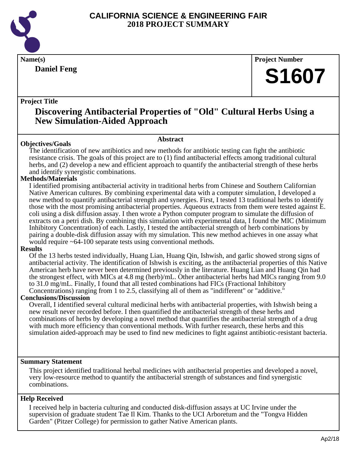

### **Daniel Feng**

**Name(s) Project Number**

# **S1607**

#### **Project Title**

# **Discovering Antibacterial Properties of "Old" Cultural Herbs Using a New Simulation-Aided Approach**

#### **Abstract**

**Objectives/Goals** The identification of new antibiotics and new methods for antibiotic testing can fight the antibiotic resistance crisis. The goals of this project are to (1) find antibacterial effects among traditional cultural herbs, and (2) develop a new and efficient approach to quantify the antibacterial strength of these herbs and identify synergistic combinations.

#### **Methods/Materials**

I identified promising antibacterial activity in traditional herbs from Chinese and Southern Californian Native American cultures. By combining experimental data with a computer simulation, I developed a new method to quantify antibacterial strength and synergies. First, I tested 13 traditional herbs to identify those with the most promising antibacterial properties. Aqueous extracts from them were tested against E. coli using a disk diffusion assay. I then wrote a Python computer program to simulate the diffusion of extracts on a petri dish. By combining this simulation with experimental data, I found the MIC (Minimum Inhibitory Concentration) of each. Lastly, I tested the antibacterial strength of herb combinations by pairing a double-disk diffusion assay with my simulation. This new method achieves in one assay what would require ~64-100 separate tests using conventional methods.

#### **Results**

Of the 13 herbs tested individually, Huang Lian, Huang Qin, Ishwish, and garlic showed strong signs of antibacterial activity. The identification of Ishwish is exciting, as the antibacterial properties of this Native American herb have never been determined previously in the literature. Huang Lian and Huang Qin had the strongest effect, with MICs at 4.8 mg (herb)/mL. Other antibacterial herbs had MICs ranging from 9.0 to 31.0 mg/mL. Finally, I found that all tested combinations had FICs (Fractional Inhibitory Concentrations) ranging from 1 to 2.5, classifying all of them as "indifferent" or "additive."

#### **Conclusions/Discussion**

Overall, I identified several cultural medicinal herbs with antibacterial properties, with Ishwish being a new result never recorded before. I then quantified the antibacterial strength of these herbs and combinations of herbs by developing a novel method that quantifies the antibacterial strength of a drug with much more efficiency than conventional methods. With further research, these herbs and this simulation aided-approach may be used to find new medicines to fight against antibiotic-resistant bacteria.

#### **Summary Statement**

This project identified traditional herbal medicines with antibacterial properties and developed a novel, very low-resource method to quantify the antibacterial strength of substances and find synergistic combinations.

#### **Help Received**

I received help in bacteria culturing and conducted disk-diffusion assays at UC Irvine under the supervision of graduate student Tae Il Kim. Thanks to the UCI Arboretum and the "Tongva Hidden Garden" (Pitzer College) for permission to gather Native American plants.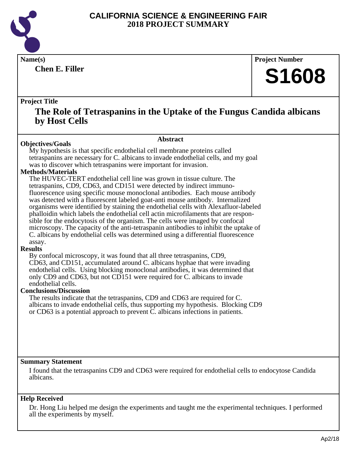

**Chen E. Filler**

**Name(s) Project Number**

# **S1608**

#### **Project Title**

### **The Role of Tetraspanins in the Uptake of the Fungus Candida albicans by Host Cells**

#### **Objectives/Goals**

#### **Abstract**

My hypothesis is that specific endothelial cell membrane proteins called tetraspanins are necessary for C. albicans to invade endothelial cells, and my goal was to discover which tetraspanins were important for invasion.

#### **Methods/Materials**

The HUVEC-TERT endothelial cell line was grown in tissue culture. The tetraspanins, CD9, CD63, and CD151 were detected by indirect immunofluorescence using specific mouse monoclonal antibodies. Each mouse antibody was detected with a fluorescent labeled goat-anti mouse antibody. Internalized organisms were identified by staining the endothelial cells with Alexafluor-labeled phalloidin which labels the endothelial cell actin microfilaments that are responsible for the endocytosis of the organism. The cells were imaged by confocal microscopy. The capacity of the anti-tetraspanin antibodies to inhibit the uptake of C. albicans by endothelial cells was determined using a differential fluorescence assay.

#### **Results**

By confocal microscopy, it was found that all three tetraspanins, CD9, CD63, and CD151, accumulated around C. albicans hyphae that were invading endothelial cells. Using blocking monoclonal antibodies, it was determined that only CD9 and CD63, but not CD151 were required for C. albicans to invade endothelial cells.

#### **Conclusions/Discussion**

The results indicate that the tetraspanins, CD9 and CD63 are required for C. albicans to invade endothelial cells, thus supporting my hypothesis. Blocking CD9 or CD63 is a potential approach to prevent C. albicans infections in patients.

#### **Summary Statement**

I found that the tetraspanins CD9 and CD63 were required for endothelial cells to endocytose Candida albicans.

#### **Help Received**

Dr. Hong Liu helped me design the experiments and taught me the experimental techniques. I performed all the experiments by myself.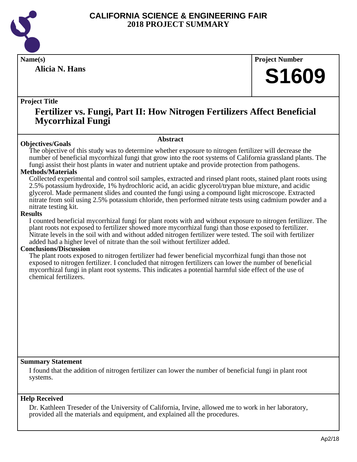

**Alicia N. Hans**

### **Name(s) Project Number**

# **S1609**

#### **Project Title**

### **Fertilizer vs. Fungi, Part II: How Nitrogen Fertilizers Affect Beneficial Mycorrhizal Fungi**

#### **Abstract**

**Objectives/Goals** The objective of this study was to determine whether exposure to nitrogen fertilizer will decrease the number of beneficial mycorrhizal fungi that grow into the root systems of California grassland plants. The fungi assist their host plants in water and nutrient uptake and provide protection from pathogens.

#### **Methods/Materials**

Collected experimental and control soil samples, extracted and rinsed plant roots, stained plant roots using 2.5% potassium hydroxide, 1% hydrochloric acid, an acidic glycerol/trypan blue mixture, and acidic glycerol. Made permanent slides and counted the fungi using a compound light microscope. Extracted nitrate from soil using 2.5% potassium chloride, then performed nitrate tests using cadmium powder and a nitrate testing kit.

#### **Results**

I counted beneficial mycorrhizal fungi for plant roots with and without exposure to nitrogen fertilizer. The plant roots not exposed to fertilizer showed more mycorrhizal fungi than those exposed to fertilizer. Nitrate levels in the soil with and without added nitrogen fertilizer were tested. The soil with fertilizer added had a higher level of nitrate than the soil without fertilizer added.

#### **Conclusions/Discussion**

The plant roots exposed to nitrogen fertilizer had fewer beneficial mycorrhizal fungi than those not exposed to nitrogen fertilizer. I concluded that nitrogen fertilizers can lower the number of beneficial mycorrhizal fungi in plant root systems. This indicates a potential harmful side effect of the use of chemical fertilizers.

#### **Summary Statement**

I found that the addition of nitrogen fertilizer can lower the number of beneficial fungi in plant root systems.

#### **Help Received**

Dr. Kathleen Treseder of the University of California, Irvine, allowed me to work in her laboratory, provided all the materials and equipment, and explained all the procedures.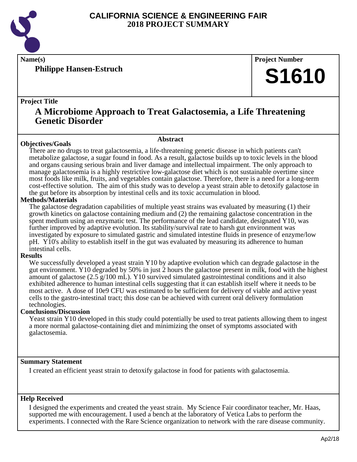

**Philippe Hansen-Estruch**

**Name(s) Project Number**

# **S1610**

#### **Project Title**

### **A Microbiome Approach to Treat Galactosemia, a Life Threatening Genetic Disorder**

#### **Objectives/Goals**

**Abstract**

There are no drugs to treat galactosemia, a life-threatening genetic disease in which patients can't metabolize galactose, a sugar found in food. As a result, galactose builds up to toxic levels in the blood and organs causing serious brain and liver damage and intellectual impairment. The only approach to manage galactosemia is a highly restrictive low-galactose diet which is not sustainable overtime since most foods like milk, fruits, and vegetables contain galactose. Therefore, there is a need for a long-term cost-effective solution. The aim of this study was to develop a yeast strain able to detoxify galactose in the gut before its absorption by intestinal cells and its toxic accumulation in blood.

#### **Methods/Materials**

The galactose degradation capabilities of multiple yeast strains was evaluated by measuring (1) their growth kinetics on galactose containing medium and (2) the remaining galactose concentration in the spent medium using an enzymatic test. The performance of the lead candidate, designated Y10, was further improved by adaptive evolution. Its stability/survival rate to harsh gut environment was investigated by exposure to simulated gastric and simulated intestine fluids in presence of enzyme/low pH. Y10's ability to establish itself in the gut was evaluated by measuring its adherence to human intestinal cells.

#### **Results**

We successfully developed a yeast strain Y10 by adaptive evolution which can degrade galactose in the gut environment. Y10 degraded by 50% in just  $\overline{2}$  hours the galactose present in milk, food with the highest amount of galactose (2.5 g/100 mL). Y10 survived simulated gastrointestinal conditions and it also exhibited adherence to human intestinal cells suggesting that it can establish itself where it needs to be most active. A dose of 10e9 CFU was estimated to be sufficient for delivery of viable and active yeast cells to the gastro-intestinal tract; this dose can be achieved with current oral delivery formulation technologies.

#### **Conclusions/Discussion**

Yeast strain Y10 developed in this study could potentially be used to treat patients allowing them to ingest a more normal galactose-containing diet and minimizing the onset of symptoms associated with galactosemia.

#### **Summary Statement**

I created an efficient yeast strain to detoxify galactose in food for patients with galactosemia.

#### **Help Received**

I designed the experiments and created the yeast strain. My Science Fair coordinator teacher, Mr. Haas, supported me with encouragement. I used a bench at the laboratory of Vetica Labs to perform the experiments. I connected with the Rare Science organization to network with the rare disease community.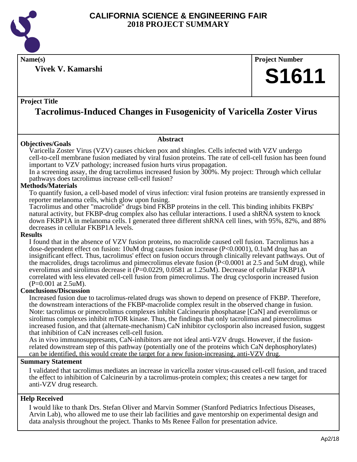

**Name(s) Project Number**

**Vivek V. Kamarshi**

#### **Project Title**

# **Tacrolimus-Induced Changes in Fusogenicity of Varicella Zoster Virus**

#### **Objectives/Goals**

**Abstract**

Varicella Zoster Virus (VZV) causes chicken pox and shingles. Cells infected with VZV undergo cell-to-cell membrane fusion mediated by viral fusion proteins. The rate of cell-cell fusion has been found important to VZV pathology; increased fusion hurts virus propagation.

In a screening assay, the drug tacrolimus increased fusion by 300%. My project: Through which cellular pathways does tacrolimus increase cell-cell fusion?

#### **Methods/Materials**

To quantify fusion, a cell-based model of virus infection: viral fusion proteins are transiently expressed in reporter melanoma cells, which glow upon fusing.

Tacrolimus and other "macrolide" drugs bind FKBP proteins in the cell. This binding inhibits FKBPs' natural activity, but FKBP-drug complex also has cellular interactions. I used a shRNA system to knock down FKBP1A in melanoma cells. I generated three different shRNA cell lines, with 95%, 82%, and 88% decreases in cellular FKBP1A levels.

#### **Results**

I found that in the absence of VZV fusion proteins, no macrolide caused cell fusion. Tacrolimus has a dose-dependent effect on fusion: 10uM drug causes fusion increase (P<0.0001), 0.1uM drug has an insignificant effect. Thus, tacrolimus' effect on fusion occurs through clinically relevant pathways. Out of the macrolides, drugs tacrolimus and pimecrolimus elevate fusion (P<0.0001 at 2.5 and 5uM drug), while everolimus and sirolimus decrease it (P=0.0229, 0.0581 at 1.25uM). Decrease of cellular FKBP1A correlated with less elevated cell-cell fusion from pimecrolimus. The drug cyclosporin increased fusion (P=0.001 at 2.5uM).

#### **Conclusions/Discussion**

Increased fusion due to tacrolimus-related drugs was shown to depend on presence of FKBP. Therefore, the downstream interactions of the FKBP-macrolide complex result in the observed change in fusion. Note: tacrolimus or pimecrolimus complexes inhibit Calcineurin phosphatase [CaN] and everolimus or sirolimus complexes inhibit mTOR kinase. Thus, the findings that only tacrolimus and pimecrolimus increased fusion, and that (alternate-mechanism) CaN inhibitor cyclosporin also increased fusion, suggest that inhibition of CaN increases cell-cell fusion.

As in vivo immunosuppresants, CaN-inhibitors are not ideal anti-VZV drugs. However, if the fusionrelated downstream step of this pathway (potentially one of the proteins which CaN dephosphorylates) can be identified, this would create the target for a new fusion-increasing, anti-VZV drug.

#### **Summary Statement**

I validated that tacrolimus mediates an increase in varicella zoster virus-caused cell-cell fusion, and traced the effect to inhibition of Calcineurin by a tacrolimus-protein complex; this creates a new target for anti-VZV drug research.

#### **Help Received**

I would like to thank Drs. Stefan Oliver and Marvin Sommer (Stanford Pediatrics Infectious Diseases, Arvin Lab), who allowed me to use their lab facilities and gave mentorship on experimental design and data analysis throughout the project. Thanks to Ms Renee Fallon for presentation advice.

**S1611**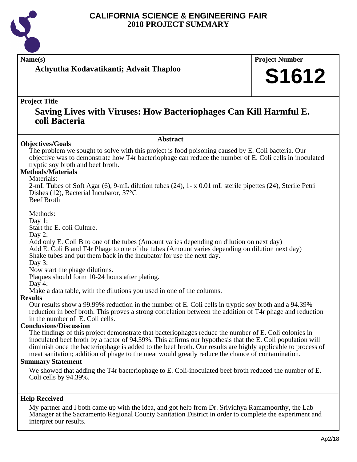

**Name(s) Project Number**

### **Achyutha Kodavatikanti; Advait Thaploo**

# **S1612**

#### **Project Title**

### **Saving Lives with Viruses: How Bacteriophages Can Kill Harmful E. coli Bacteria**

**Abstract**

#### **Objectives/Goals**

The problem we sought to solve with this project is food poisoning caused by E. Coli bacteria. Our objective was to demonstrate how T4r bacteriophage can reduce the number of E. Coli cells in inoculated tryptic soy broth and beef broth.

#### **Methods/Materials**

#### Materials:

2-mL Tubes of Soft Agar (6), 9-mL dilution tubes (24), 1- x 0.01 mL sterile pipettes (24), Sterile Petri Dishes (12), Bacterial Incubator, 37°C Beef Broth

Methods:

Day 1:

Start the E. coli Culture.

Day 2:

Add only E. Coli B to one of the tubes (Amount varies depending on dilution on next day) Add E. Coli B and T4r Phage to one of the tubes (Amount varies depending on dilution next day) Shake tubes and put them back in the incubator for use the next day.

Day 3:

Now start the phage dilutions.

Plaques should form 10-24 hours after plating.

Day 4:

Make a data table, with the dilutions you used in one of the columns.

#### **Results**

Our results show a 99.99% reduction in the number of E. Coli cells in tryptic soy broth and a 94.39% reduction in beef broth. This proves a strong correlation between the addition of T4r phage and reduction in the number of E. Coli cells.

#### **Conclusions/Discussion**

The findings of this project demonstrate that bacteriophages reduce the number of E. Coli colonies in inoculated beef broth by a factor of 94.39%. This affirms our hypothesis that the E. Coli population will diminish once the bacteriophage is added to the beef broth. Our results are highly applicable to process of meat sanitation; addition of phage to the meat would greatly reduce the chance of contamination.

#### **Summary Statement**

We showed that adding the T4r bacteriophage to E. Coli-inoculated beef broth reduced the number of E. Coli cells by 94.39%.

#### **Help Received**

My partner and I both came up with the idea, and got help from Dr. Srividhya Ramamoorthy, the Lab Manager at the Sacramento Regional County Sanitation District in order to complete the experiment and interpret our results.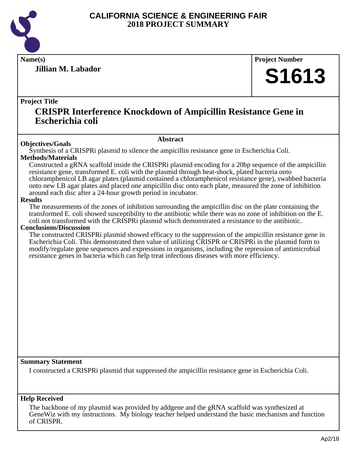

**Jillian M. Labador**

**Name(s) Project Number**

# **S1613**

#### **Project Title**

### **CRISPR Interference Knockdown of Ampicillin Resistance Gene in Escherichia coli**

#### **Abstract**

**Objectives/Goals** Synthesis of a CRISPRi plasmid to silence the ampicillin resistance gene in Escherichia Coli. **Methods/Materials**

Constructed a gRNA scaffold inside the CRISPRi plasmid encoding for a 20bp sequence of the ampicillin resistance gene, transformed E. coli with the plasmid through heat-shock, plated bacteria onto chloramphenicol LB agar plates (plasmid contained a chloramphenicol resistance gene), swabbed bacteria onto new LB agar plates and placed one ampicillin disc onto each plate, measured the zone of inhibition around each disc after a 24-hour growth period in incubator.

#### **Results**

The measurements of the zones of inhibition surrounding the ampicillin disc on the plate containing the transformed E. coli showed susceptibility to the antibiotic while there was no zone of inhibition on the E. coli not transformed with the CRISPRi plasmid which demonstrated a resistance to the antibiotic.

#### **Conclusions/Discussion**

The constructed CRISPRi plasmid showed efficacy to the suppression of the ampicillin resistance gene in Escherichia Coli. This demonstrated then value of utilizing CRISPR or CRISPRi in the plasmid form to modify/regulate gene sequences and expressions in organisms, including the repression of antimicrobial resistance genes in bacteria which can help treat infectious diseases with more efficiency.

#### **Summary Statement**

I constructed a CRISPRi plasmid that suppressed the ampicillin resistance gene in Escherichia Coli.

#### **Help Received**

The backbone of my plasmid was provided by addgene and the gRNA scaffold was synthesized at GeneWiz with my instructions. My biology teacher helped understand the basic mechanism and function of CRISPR.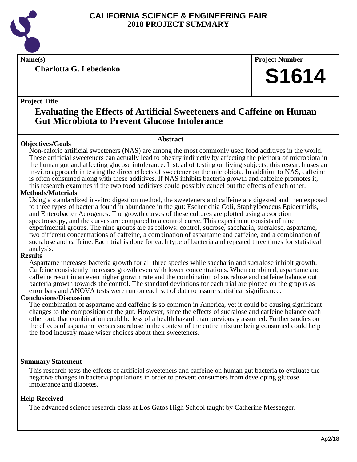

**Charlotta G. Lebedenko**

**Name(s) Project Number**

# **S1614**

#### **Project Title**

## **Evaluating the Effects of Artificial Sweeteners and Caffeine on Human Gut Microbiota to Prevent Glucose Intolerance**

#### **Objectives/Goals**

#### **Abstract**

Non-caloric artificial sweeteners (NAS) are among the most commonly used food additives in the world. These artificial sweeteners can actually lead to obesity indirectly by affecting the plethora of microbiota in the human gut and affecting glucose intolerance. Instead of testing on living subjects, this research uses an in-vitro approach in testing the direct effects of sweetener on the microbiota. In addition to NAS, caffeine is often consumed along with these additives. If NAS inhibits bacteria growth and caffeine promotes it, this research examines if the two food additives could possibly cancel out the effects of each other.

#### **Methods/Materials**

Using a standardized in-vitro digestion method, the sweeteners and caffeine are digested and then exposed to three types of bacteria found in abundance in the gut: Escherichia Coli, Staphylococcus Epidermidis, and Enterobacter Aerogenes. The growth curves of these cultures are plotted using absorption spectroscopy, and the curves are compared to a control curve. This experiment consists of nine experimental groups. The nine groups are as follows: control, sucrose, saccharin, sucralose, aspartame, two different concentrations of caffeine, a combination of aspartame and caffeine, and a combination of sucralose and caffeine. Each trial is done for each type of bacteria and repeated three times for statistical analysis.

#### **Results**

Aspartame increases bacteria growth for all three species while saccharin and sucralose inhibit growth. Caffeine consistently increases growth even with lower concentrations. When combined, aspartame and caffeine result in an even higher growth rate and the combination of sucralose and caffeine balance out bacteria growth towards the control. The standard deviations for each trial are plotted on the graphs as error bars and ANOVA tests were run on each set of data to assure statistical significance.

#### **Conclusions/Discussion**

The combination of aspartame and caffeine is so common in America, yet it could be causing significant changes to the composition of the gut. However, since the effects of sucralose and caffeine balance each other out, that combination could be less of a health hazard than previously assumed. Further studies on the effects of aspartame versus sucralose in the context of the entire mixture being consumed could help the food industry make wiser choices about their sweeteners.

#### **Summary Statement**

This research tests the effects of artificial sweeteners and caffeine on human gut bacteria to evaluate the negative changes in bacteria populations in order to prevent consumers from developing glucose intolerance and diabetes.

#### **Help Received**

The advanced science research class at Los Gatos High School taught by Catherine Messenger.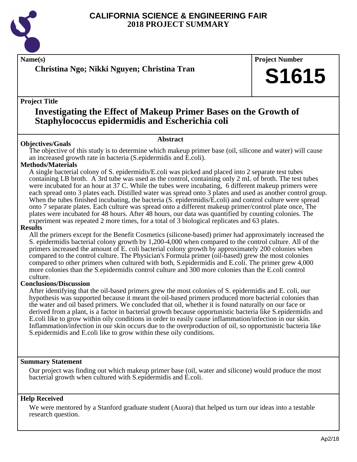

**Christina Ngo; Nikki Nguyen; Christina Tran**

**Name(s) Project Number**

# **S1615**

#### **Project Title**

# **Investigating the Effect of Makeup Primer Bases on the Growth of Staphylococcus epidermidis and Escherichia coli**

#### **Abstract**

**Objectives/Goals** The objective of this study is to determine which makeup primer base (oil, silicone and water) will cause an increased growth rate in bacteria (S.epidermidis and E.coli).

#### **Methods/Materials**

A single bacterial colony of S. epidermidis/E.coli was picked and placed into 2 separate test tubes containing LB broth. A 3rd tube was used as the control, containing only 2 mL of broth. The test tubes were incubated for an hour at 37 C. While the tubes were incubating, 6 different makeup primers were each spread onto 3 plates each. Distilled water was spread onto 3 plates and used as another control group. When the tubes finished incubating, the bacteria (S. epidermidis/E.coli) and control culture were spread onto 7 separate plates. Each culture was spread onto a different makeup primer/control plate once, The plates were incubated for 48 hours. After 48 hours, our data was quantified by counting colonies. The experiment was repeated 2 more times, for a total of 3 biological replicates and 63 plates.

#### **Results**

All the primers except for the Benefit Cosmetics (silicone-based) primer had approximately increased the S. epidermidis bacterial colony growth by 1,200-4,000 when compared to the control culture. All of the primers increased the amount of E. coli bacterial colony growth by approximately 200 colonies when compared to the control culture. The Physician's Formula primer (oil-based) grew the most colonies compared to other primers when cultured with both, S.epidermidis and E.coli. The primer grew 4,000 more colonies than the S.epidermidis control culture and 300 more colonies than the E.coli control culture.

#### **Conclusions/Discussion**

After identifying that the oil-based primers grew the most colonies of S. epidermidis and E. coli, our hypothesis was supported because it meant the oil-based primers produced more bacterial colonies than the water and oil based primers. We concluded that oil, whether it is found naturally on our face or derived from a plant, is a factor in bacterial growth because opportunistic bacteria like S.epidermidis and E.coli like to grow within oily conditions in order to easily cause inflammation/infection in our skin. Inflammation/infection in our skin occurs due to the overproduction of oil, so opportunistic bacteria like S.epidermidis and E.coli like to grow within these oily conditions.

#### **Summary Statement**

Our project was finding out which makeup primer base (oil, water and silicone) would produce the most bacterial growth when cultured with S.epidermidis and E.coli.

#### **Help Received**

We were mentored by a Stanford graduate student (Auora) that helped us turn our ideas into a testable research question.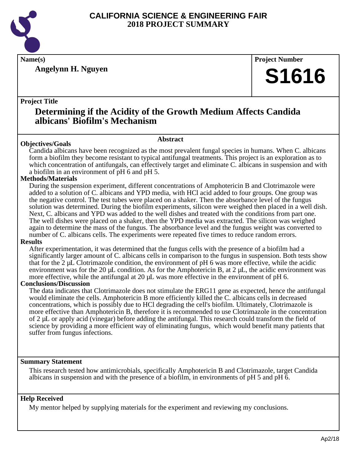

**Angelynn H. Nguyen**

**Name(s) Project Number**

# **S1616**

#### **Project Title**

## **Determining if the Acidity of the Growth Medium Affects Candida albicans' Biofilm's Mechanism**

#### **Abstract**

**Objectives/Goals** Candida albicans have been recognized as the most prevalent fungal species in humans. When C. albicans form a biofilm they become resistant to typical antifungal treatments. This project is an exploration as to which concentration of antifungals, can effectively target and eliminate C. albicans in suspension and with a biofilm in an environment of pH 6 and pH 5.

#### **Methods/Materials**

During the suspension experiment, different concentrations of Amphotericin B and Clotrimazole were added to a solution of C. albicans and YPD media, with HCl acid added to four groups. One group was the negative control. The test tubes were placed on a shaker. Then the absorbance level of the fungus solution was determined. During the biofilm experiments, silicon were weighed then placed in a well dish. Next, C. albicans and YPD was added to the well dishes and treated with the conditions from part one. The well dishes were placed on a shaker, then the YPD media was extracted. The silicon was weighed again to determine the mass of the fungus. The absorbance level and the fungus weight was converted to number of C. albicans cells. The experiments were repeated five times to reduce random errors.

#### **Results**

After experimentation, it was determined that the fungus cells with the presence of a biofilm had a significantly larger amount of C. albicans cells in comparison to the fungus in suspension. Both tests show that for the 2 µL Clotrimazole condition, the environment of pH 6 was more effective, while the acidic environment was for the 20  $\mu$ L condition. As for the Amphotericin B, at 2  $\mu$ L, the acidic environment was more effective, while the antifungal at 20  $\mu$ L was more effective in the environment of pH 6.

#### **Conclusions/Discussion**

The data indicates that Clotrimazole does not stimulate the ERG11 gene as expected, hence the antifungal would eliminate the cells. Amphotericin B more efficiently killed the C. albicans cells in decreased concentrations, which is possibly due to HCl degrading the cell's biofilm. Ultimately, Clotrimazole is more effective than Amphotericin B, therefore it is recommended to use Clotrimazole in the concentration of 2 µL or apply acid (vinegar) before adding the antifungal. This research could transform the field of science by providing a more efficient way of eliminating fungus, which would benefit many patients that suffer from fungus infections.

#### **Summary Statement**

This research tested how antimicrobials, specifically Amphotericin B and Clotrimazole, target Candida albicans in suspension and with the presence of a biofilm, in environments of pH 5 and pH 6.

#### **Help Received**

My mentor helped by supplying materials for the experiment and reviewing my conclusions.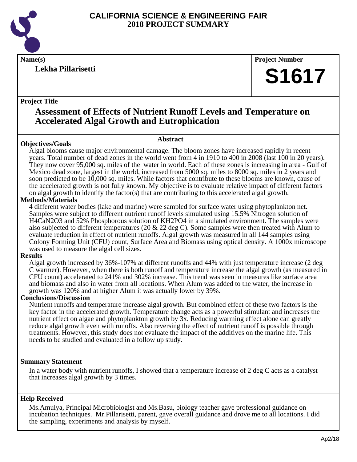

### **Lekha Pillarisetti**

**Name(s) Project Number**

# **S1617**

#### **Project Title**

### **Assessment of Effects of Nutrient Runoff Levels and Temperature on Accelerated Algal Growth and Eutrophication**

### **Abstract**

**Objectives/Goals** Algal blooms cause major environmental damage. The bloom zones have increased rapidly in recent years. Total number of dead zones in the world went from 4 in 1910 to 400 in 2008 (last 100 in 20 years). They now cover 95,000 sq. miles of the water in world. Each of these zones is increasing in area - Gulf of Mexico dead zone, largest in the world, increased from 5000 sq. miles to 8000 sq. miles in 2 years and soon predicted to be 10,000 sq. miles. While factors that contribute to these blooms are known, cause of the accelerated growth is not fully known. My objective is to evaluate relative impact of different factors on algal growth to identify the factor(s) that are contributing to this accelerated algal growth.

#### **Methods/Materials**

4 different water bodies (lake and marine) were sampled for surface water using phytoplankton net. Samples were subject to different nutrient runoff levels simulated using 15.5% Nitrogen solution of H4CaN2O3 and 52% Phosphorous solution of KH2PO4 in a simulated environment. The samples were also subjected to different temperatures (20  $\&$  22 deg C). Some samples were then treated with Alum to evaluate reduction in effect of nutrient runoffs. Algal growth was measured in all 144 samples using Colony Forming Unit (CFU) count, Surface Area and Biomass using optical density. A 1000x microscope was used to measure the algal cell sizes.

#### **Results**

Algal growth increased by 36%-107% at different runoffs and 44% with just temperature increase (2 deg C warmer). However, when there is both runoff and temperature increase the algal growth (as measured in CFU count) accelerated to 241% and 302% increase. This trend was seen in measures like surface area and biomass and also in water from all locations. When Alum was added to the water, the increase in growth was 120% and at higher Alum it was actually lower by 39%.

#### **Conclusions/Discussion**

Nutrient runoffs and temperature increase algal growth. But combined effect of these two factors is the key factor in the accelerated growth. Temperature change acts as a powerful stimulant and increases the nutrient effect on algae and phytoplankton growth by 3x. Reducing warming effect alone can greatly reduce algal growth even with runoffs. Also reversing the effect of nutrient runoff is possible through treatments. However, this study does not evaluate the impact of the additives on the marine life. This needs to be studied and evaluated in a follow up study.

#### **Summary Statement**

In a water body with nutrient runoffs, I showed that a temperature increase of 2 deg C acts as a catalyst that increases algal growth by 3 times.

#### **Help Received**

Ms.Amulya, Principal Microbiologist and Ms.Basu, biology teacher gave professional guidance on incubation techniques. Mr.Pillarisetti, parent, gave overall guidance and drove me to all locations. I did the sampling, experiments and analysis by myself.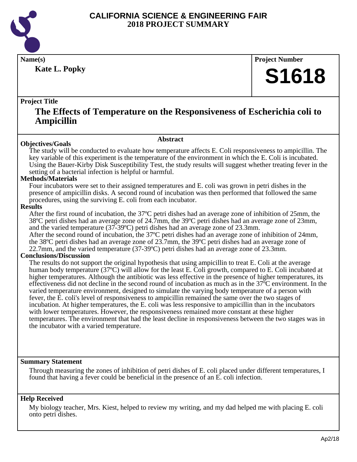

**Kate L. Popky**

**Name(s) Project Number**

# **S1618**

#### **Project Title**

### **The Effects of Temperature on the Responsiveness of Escherichia coli to Ampicillin**

**Abstract**

#### **Objectives/Goals**

The study will be conducted to evaluate how temperature affects E. Coli responsiveness to ampicillin. The key variable of this experiment is the temperature of the environment in which the E. Coli is incubated. Using the Bauer-Kirby Disk Susceptibility Test, the study results will suggest whether treating fever in the setting of a bacterial infection is helpful or harmful.

#### **Methods/Materials**

Four incubators were set to their assigned temperatures and E. coli was grown in petri dishes in the presence of ampicillin disks. A second round of incubation was then performed that followed the same procedures, using the surviving E. coli from each incubator.

#### **Results**

After the first round of incubation, the 37ºC petri dishes had an average zone of inhibition of 25mm, the 38ºC petri dishes had an average zone of 24.7mm, the 39ºC petri dishes had an average zone of 23mm, and the varied temperature (37-39ºC) petri dishes had an average zone of 23.3mm.

After the second round of incubation, the 37ºC petri dishes had an average zone of inhibition of 24mm, the 38ºC petri dishes had an average zone of 23.7mm, the 39ºC petri dishes had an average zone of 22.7mm, and the varied temperature (37-39ºC) petri dishes had an average zone of 23.3mm.

#### **Conclusions/Discussion**

The results do not support the original hypothesis that using ampicillin to treat E. Coli at the average human body temperature (37ºC) will allow for the least E. Coli growth, compared to E. Coli incubated at higher temperatures. Although the antibiotic was less effective in the presence of higher temperatures, its effectiveness did not decline in the second round of incubation as much as in the 37ºC environment. In the varied temperature environment, designed to simulate the varying body temperature of a person with fever, the E. coli's level of responsiveness to ampicillin remained the same over the two stages of incubation. At higher temperatures, the E. coli was less responsive to ampicillin than in the incubators with lower temperatures. However, the responsiveness remained more constant at these higher temperatures. The environment that had the least decline in responsiveness between the two stages was in the incubator with a varied temperature.

#### **Summary Statement**

Through measuring the zones of inhibition of petri dishes of E. coli placed under different temperatures, I found that having a fever could be beneficial in the presence of an E. coli infection.

#### **Help Received**

My biology teacher, Mrs. Kiest, helped to review my writing, and my dad helped me with placing E. coli onto petri dishes.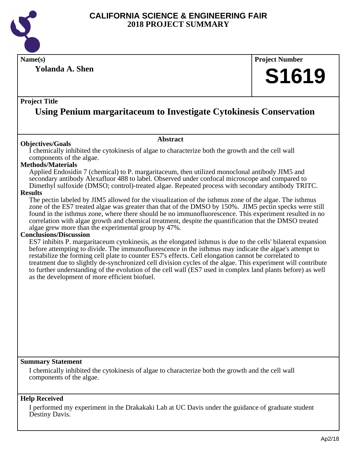

**Name(s) Project Number**

**Yolanda A. Shen**

# **S1619**

#### **Project Title**

# **Using Penium margaritaceum to Investigate Cytokinesis Conservation**

**Abstract**

#### **Objectives/Goals**

I chemically inhibited the cytokinesis of algae to characterize both the growth and the cell wall components of the algae.

#### **Methods/Materials**

Applied Endosidin 7 (chemical) to P. margaritaceum, then utilized monoclonal antibody JIM5 and secondary antibody Alexafluor 488 to label. Observed under confocal microscope and compared to Dimethyl sulfoxide (DMSO; control)-treated algae. Repeated process with secondary antibody TRITC.

#### **Results**

The pectin labeled by JIM5 allowed for the visualization of the isthmus zone of the algae. The isthmus zone of the ES7 treated algae was greater than that of the DMSO by 150%. JIM5 pectin specks were still found in the isthmus zone, where there should be no immunofluorescence. This experiment resulted in no correlation with algae growth and chemical treatment, despite the quantification that the DMSO treated algae grew more than the experimental group by 47%.

#### **Conclusions/Discussion**

ES7 inhibits P. margaritaceum cytokinesis, as the elongated isthmus is due to the cells' bilateral expansion before attempting to divide. The immunofluorescence in the isthmus may indicate the algae's attempt to restabilize the forming cell plate to counter ES7's effects. Cell elongation cannot be correlated to treatment due to slightly de-synchronized cell division cycles of the algae. This experiment will contribute to further understanding of the evolution of the cell wall (ES7 used in complex land plants before) as well as the development of more efficient biofuel.

#### **Summary Statement**

I chemically inhibited the cytokinesis of algae to characterize both the growth and the cell wall components of the algae.

#### **Help Received**

I performed my experiment in the Drakakaki Lab at UC Davis under the guidance of graduate student Destiny Davis.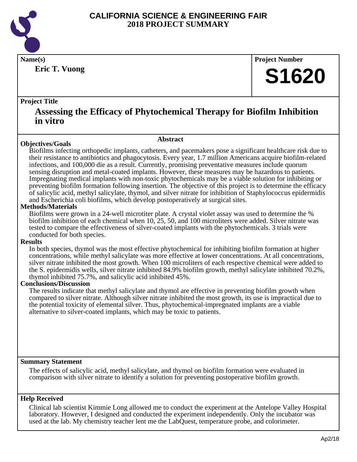

**Eric T. Vuong**

**Name(s) Project Number**

# **S1620**

#### **Project Title**

### **Assessing the Efficacy of Phytochemical Therapy for Biofilm Inhibition in vitro**

**Abstract**

#### **Objectives/Goals**

Biofilms infecting orthopedic implants, catheters, and pacemakers pose a significant healthcare risk due to their resistance to antibiotics and phagocytosis. Every year, 1.7 million Americans acquire biofilm-related infections, and 100,000 die as a result. Currently, promising preventative measures include quorum sensing disruption and metal-coated implants. However, these measures may be hazardous to patients. Impregnating medical implants with non-toxic phytochemicals may be a viable solution for inhibiting or preventing biofilm formation following insertion. The objective of this project is to determine the efficacy of salicylic acid, methyl salicylate, thymol, and silver nitrate for inhibition of Staphylococcus epidermidis and Escherichia coli biofilms, which develop postoperatively at surgical sites.

#### **Methods/Materials**

Biofilms were grown in a 24-well microtiter plate. A crystal violet assay was used to determine the % biofilm inhibition of each chemical when 10, 25, 50, and 100 microliters were added. Silver nitrate was tested to compare the effectiveness of silver-coated implants with the phytochemicals. 3 trials were conducted for both species.

#### **Results**

In both species, thymol was the most effective phytochemical for inhibiting biofilm formation at higher concentrations, while methyl salicylate was more effective at lower concentrations. At all concentrations, silver nitrate inhibited the most growth. When 100 microliters of each respective chemical were added to the S. epidermidis wells, silver nitrate inhibited 84.9% biofilm growth, methyl salicylate inhibited 70.2%, thymol inhibited 75.7%, and salicylic acid inhibited 45%.

#### **Conclusions/Discussion**

The results indicate that methyl salicylate and thymol are effective in preventing biofilm growth when compared to silver nitrate. Although silver nitrate inhibited the most growth, its use is impractical due to the potential toxicity of elemental silver. Thus, phytochemical-impregnated implants are a viable alternative to silver-coated implants, which may be toxic to patients.

#### **Summary Statement**

The effects of salicylic acid, methyl salicylate, and thymol on biofilm formation were evaluated in comparison with silver nitrate to identify a solution for preventing postoperative biofilm growth.

#### **Help Received**

Clinical lab scientist Kimmie Long allowed me to conduct the experiment at the Antelope Valley Hospital laboratory. However, I designed and conducted the experiment independently. Only the incubator was used at the lab. My chemistry teacher lent me the LabQuest, temperature probe, and colorimeter.